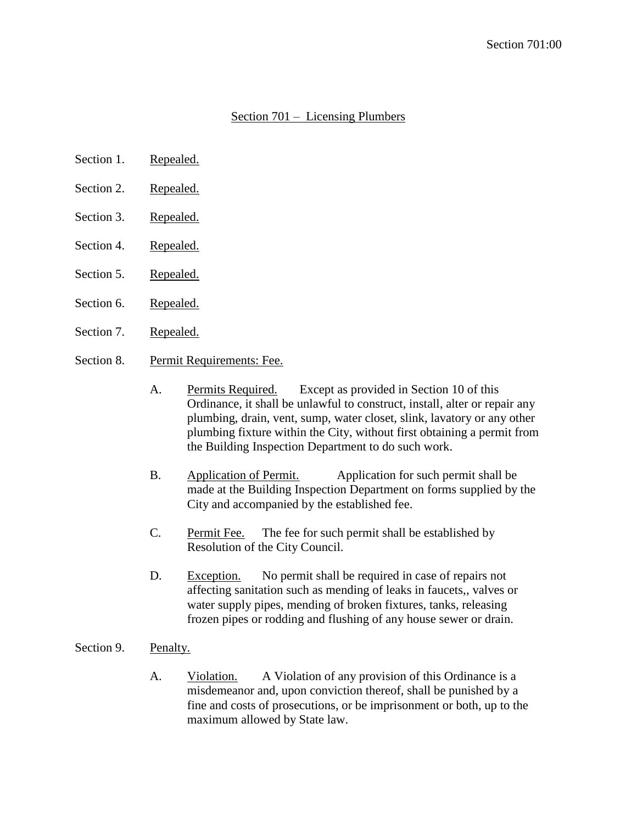## Section 701 – Licensing Plumbers

- Section 1. Repealed.
- Section 2. Repealed.
- Section 3. Repealed.
- Section 4. Repealed.
- Section 5. Repealed.
- Section 6. Repealed.
- Section 7. Repealed.
- Section 8. Permit Requirements: Fee.
	- A. Permits Required. Except as provided in Section 10 of this Ordinance, it shall be unlawful to construct, install, alter or repair any plumbing, drain, vent, sump, water closet, slink, lavatory or any other plumbing fixture within the City, without first obtaining a permit from the Building Inspection Department to do such work.
	- B. Application of Permit. Application for such permit shall be made at the Building Inspection Department on forms supplied by the City and accompanied by the established fee.
	- C. Permit Fee. The fee for such permit shall be established by Resolution of the City Council.
	- D. Exception. No permit shall be required in case of repairs not affecting sanitation such as mending of leaks in faucets,, valves or water supply pipes, mending of broken fixtures, tanks, releasing frozen pipes or rodding and flushing of any house sewer or drain.
- Section 9. Penalty.
	- A. Violation. A Violation of any provision of this Ordinance is a misdemeanor and, upon conviction thereof, shall be punished by a fine and costs of prosecutions, or be imprisonment or both, up to the maximum allowed by State law.